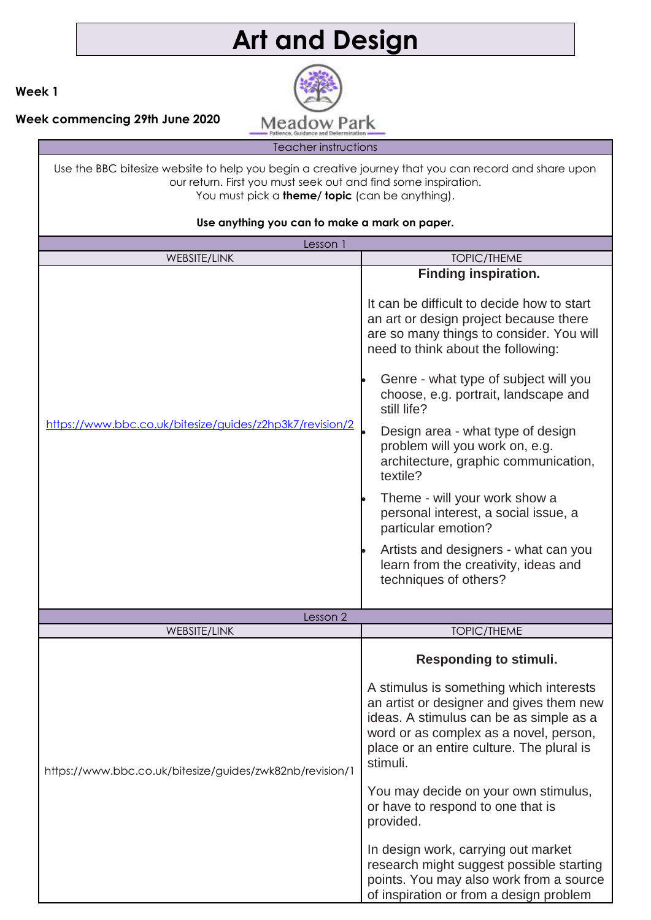# **Art and Design**



**Week 1**

**Week commencing 29th June 2020**

Teacher instructions

Use the BBC bitesize website to help you begin a creative journey that you can record and share upon our return. First you must seek out and find some inspiration. You must pick a **theme/ topic** (can be anything).

| Lesson 1                                                 |                                                                                                                                                                                                                                                                                                                                                                                                                                                                                                                                                                                                                                    |
|----------------------------------------------------------|------------------------------------------------------------------------------------------------------------------------------------------------------------------------------------------------------------------------------------------------------------------------------------------------------------------------------------------------------------------------------------------------------------------------------------------------------------------------------------------------------------------------------------------------------------------------------------------------------------------------------------|
| WEBSITE/LINK                                             | <b>TOPIC/THEME</b>                                                                                                                                                                                                                                                                                                                                                                                                                                                                                                                                                                                                                 |
| https://www.bbc.co.uk/bitesize/guides/z2hp3k7/revision/2 | Finding inspiration.<br>It can be difficult to decide how to start<br>an art or design project because there<br>are so many things to consider. You will<br>need to think about the following:<br>Genre - what type of subject will you<br>choose, e.g. portrait, landscape and<br>still life?<br>Design area - what type of design<br>problem will you work on, e.g.<br>architecture, graphic communication,<br>textile?<br>Theme - will your work show a<br>personal interest, a social issue, a<br>particular emotion?<br>Artists and designers - what can you<br>learn from the creativity, ideas and<br>techniques of others? |
|                                                          |                                                                                                                                                                                                                                                                                                                                                                                                                                                                                                                                                                                                                                    |
| Lesson 2                                                 |                                                                                                                                                                                                                                                                                                                                                                                                                                                                                                                                                                                                                                    |
| WEBSITE/LINK                                             | <b>TOPIC/THEME</b>                                                                                                                                                                                                                                                                                                                                                                                                                                                                                                                                                                                                                 |
| https://www.bbc.co.uk/bitesize/guides/zwk82nb/revision/1 | <b>Responding to stimuli.</b><br>A stimulus is something which interests<br>an artist or designer and gives them new<br>ideas. A stimulus can be as simple as a<br>word or as complex as a novel, person,<br>place or an entire culture. The plural is<br>stimuli.<br>You may decide on your own stimulus,<br>or have to respond to one that is<br>provided.<br>In design work, carrying out market<br>research might suggest possible starting<br>points. You may also work from a source<br>of inspiration or from a design problem                                                                                              |

#### **Use anything you can to make a mark on paper.**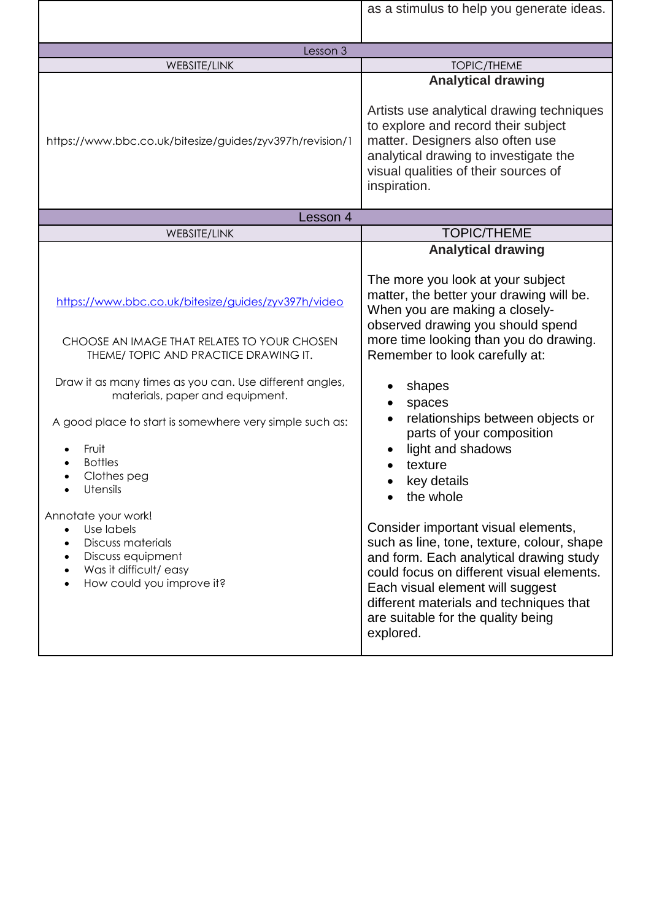|                                                                                            | as a stimulus to help you generate ideas.                                                                                                                                                                             |
|--------------------------------------------------------------------------------------------|-----------------------------------------------------------------------------------------------------------------------------------------------------------------------------------------------------------------------|
|                                                                                            |                                                                                                                                                                                                                       |
| Lesson 3                                                                                   |                                                                                                                                                                                                                       |
| WEBSITE/LINK                                                                               | <b>TOPIC/THEME</b>                                                                                                                                                                                                    |
|                                                                                            | <b>Analytical drawing</b>                                                                                                                                                                                             |
| https://www.bbc.co.uk/bitesize/guides/zyv397h/revision/1                                   | Artists use analytical drawing techniques<br>to explore and record their subject<br>matter. Designers also often use<br>analytical drawing to investigate the<br>visual qualities of their sources of<br>inspiration. |
| Lesson 4                                                                                   |                                                                                                                                                                                                                       |
| WEBSITE/LINK                                                                               | <b>TOPIC/THEME</b>                                                                                                                                                                                                    |
|                                                                                            | <b>Analytical drawing</b><br>The more you look at your subject                                                                                                                                                        |
| https://www.bbc.co.uk/bitesize/guides/zyv397h/video                                        | matter, the better your drawing will be.<br>When you are making a closely-<br>observed drawing you should spend                                                                                                       |
| CHOOSE AN IMAGE THAT RELATES TO YOUR CHOSEN<br>THEME/ TOPIC AND PRACTICE DRAWING IT.       | more time looking than you do drawing.<br>Remember to look carefully at:                                                                                                                                              |
| Draw it as many times as you can. Use different angles,<br>materials, paper and equipment. | shapes<br>spaces                                                                                                                                                                                                      |
| A good place to start is somewhere very simple such as:                                    | relationships between objects or<br>parts of your composition                                                                                                                                                         |
| Fruit<br><b>Bottles</b>                                                                    | light and shadows                                                                                                                                                                                                     |
| Clothes peg                                                                                | texture                                                                                                                                                                                                               |
| <b>Utensils</b>                                                                            | key details<br>the whole                                                                                                                                                                                              |
| Annotate your work!                                                                        |                                                                                                                                                                                                                       |
| Use labels<br>$\bullet$<br><b>Discuss materials</b><br>$\bullet$                           | Consider important visual elements,<br>such as line, tone, texture, colour, shape                                                                                                                                     |
| Discuss equipment<br>٠                                                                     | and form. Each analytical drawing study                                                                                                                                                                               |
| Was it difficult/easy                                                                      | could focus on different visual elements.                                                                                                                                                                             |
| How could you improve it?                                                                  | Each visual element will suggest<br>different materials and techniques that<br>are suitable for the quality being<br>explored.                                                                                        |
|                                                                                            |                                                                                                                                                                                                                       |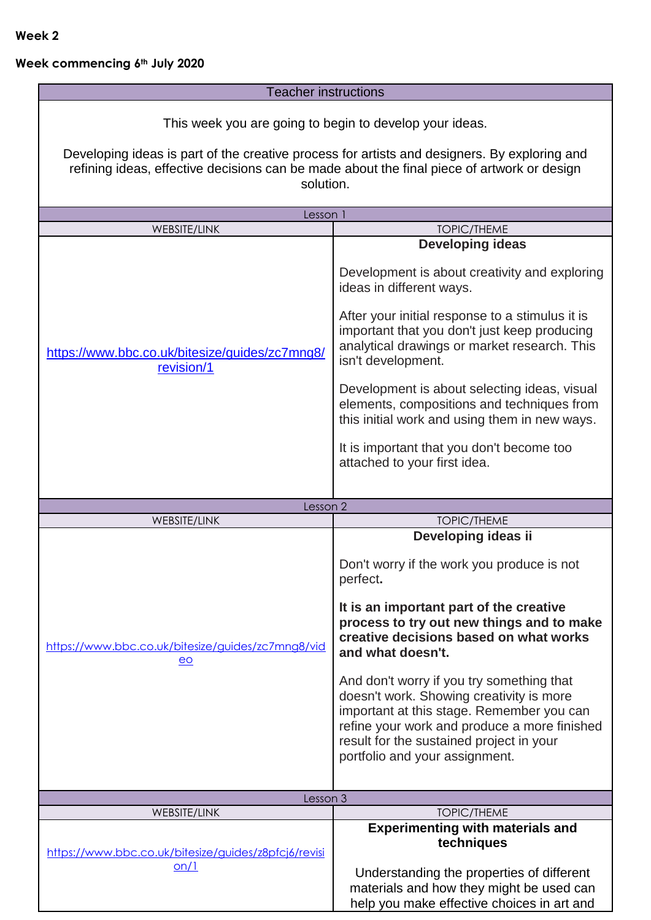## **Week commencing 6th July 2020**

#### Teacher instructions

This week you are going to begin to develop your ideas.

Developing ideas is part of the creative process for artists and designers. By exploring and refining ideas, effective decisions can be made about the final piece of artwork or design solution.

| Lesson 1                                                                            |                                                                                                                                                                                                                                                                                                                                                                                                                                                                                                 |
|-------------------------------------------------------------------------------------|-------------------------------------------------------------------------------------------------------------------------------------------------------------------------------------------------------------------------------------------------------------------------------------------------------------------------------------------------------------------------------------------------------------------------------------------------------------------------------------------------|
|                                                                                     |                                                                                                                                                                                                                                                                                                                                                                                                                                                                                                 |
| <b>WEBSITE/LINK</b><br>https://www.bbc.co.uk/bitesize/guides/zc7mng8/<br>revision/1 | <b>TOPIC/THEME</b><br><b>Developing ideas</b><br>Development is about creativity and exploring<br>ideas in different ways.<br>After your initial response to a stimulus it is<br>important that you don't just keep producing<br>analytical drawings or market research. This<br>isn't development.<br>Development is about selecting ideas, visual<br>elements, compositions and techniques from<br>this initial work and using them in new ways.<br>It is important that you don't become too |
|                                                                                     | attached to your first idea.                                                                                                                                                                                                                                                                                                                                                                                                                                                                    |
| Lesson 2                                                                            |                                                                                                                                                                                                                                                                                                                                                                                                                                                                                                 |
| <b>WEBSITE/LINK</b>                                                                 | <b>TOPIC/THEME</b>                                                                                                                                                                                                                                                                                                                                                                                                                                                                              |
|                                                                                     | Developing ideas ii                                                                                                                                                                                                                                                                                                                                                                                                                                                                             |
| https://www.bbc.co.uk/bitesize/guides/zc7mng8/vid<br>$\overline{e}$                 | Don't worry if the work you produce is not<br>perfect.<br>It is an important part of the creative<br>process to try out new things and to make<br>creative decisions based on what works<br>and what doesn't.<br>And don't worry if you try something that<br>doesn't work. Showing creativity is more<br>important at this stage. Remember you can<br>refine your work and produce a more finished<br>result for the sustained project in your                                                 |
| Lesson 3                                                                            | portfolio and your assignment.                                                                                                                                                                                                                                                                                                                                                                                                                                                                  |
| WEBSITE/LINK                                                                        | <b>TOPIC/THEME</b>                                                                                                                                                                                                                                                                                                                                                                                                                                                                              |
|                                                                                     | <b>Experimenting with materials and</b>                                                                                                                                                                                                                                                                                                                                                                                                                                                         |
| https://www.bbc.co.uk/bitesize/guides/z8pfcj6/revisi<br>on/1                        | techniques                                                                                                                                                                                                                                                                                                                                                                                                                                                                                      |
|                                                                                     | Understanding the properties of different<br>materials and how they might be used can<br>help you make effective choices in art and                                                                                                                                                                                                                                                                                                                                                             |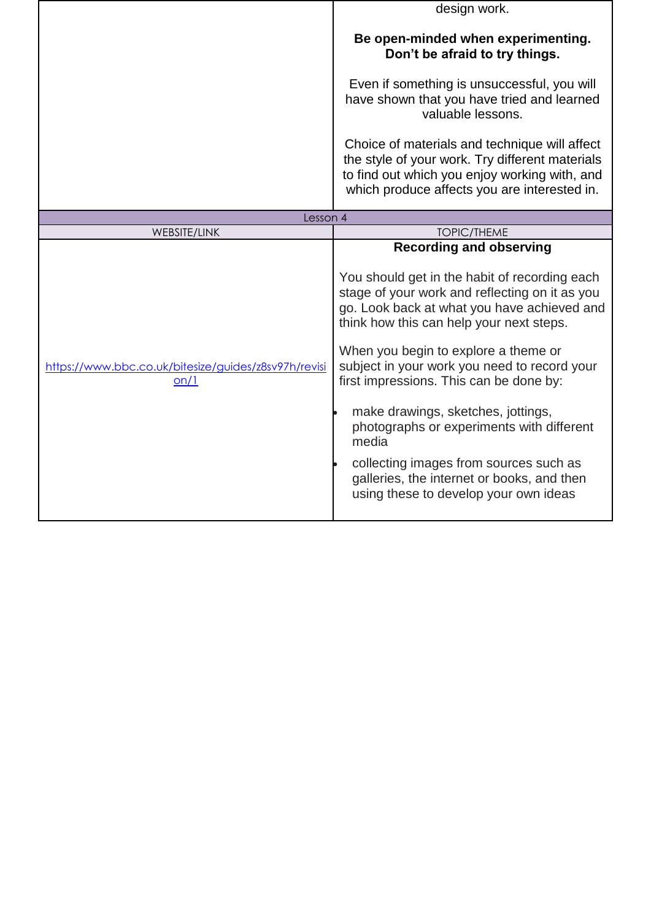|                                                              | design work.                                                                                                                                                                                                                                                                                                                                                                                                                                                                                                                                                                                 |
|--------------------------------------------------------------|----------------------------------------------------------------------------------------------------------------------------------------------------------------------------------------------------------------------------------------------------------------------------------------------------------------------------------------------------------------------------------------------------------------------------------------------------------------------------------------------------------------------------------------------------------------------------------------------|
|                                                              | Be open-minded when experimenting.<br>Don't be afraid to try things.                                                                                                                                                                                                                                                                                                                                                                                                                                                                                                                         |
|                                                              | Even if something is unsuccessful, you will<br>have shown that you have tried and learned<br>valuable lessons.                                                                                                                                                                                                                                                                                                                                                                                                                                                                               |
|                                                              | Choice of materials and technique will affect<br>the style of your work. Try different materials<br>to find out which you enjoy working with, and<br>which produce affects you are interested in.                                                                                                                                                                                                                                                                                                                                                                                            |
| Lesson 4                                                     |                                                                                                                                                                                                                                                                                                                                                                                                                                                                                                                                                                                              |
| WEBSITE/LINK                                                 | <b>TOPIC/THEME</b>                                                                                                                                                                                                                                                                                                                                                                                                                                                                                                                                                                           |
| https://www.bbc.co.uk/bitesize/guides/z8sv97h/revisi<br>on/1 | <b>Recording and observing</b><br>You should get in the habit of recording each<br>stage of your work and reflecting on it as you<br>go. Look back at what you have achieved and<br>think how this can help your next steps.<br>When you begin to explore a theme or<br>subject in your work you need to record your<br>first impressions. This can be done by:<br>make drawings, sketches, jottings,<br>photographs or experiments with different<br>media<br>collecting images from sources such as<br>galleries, the internet or books, and then<br>using these to develop your own ideas |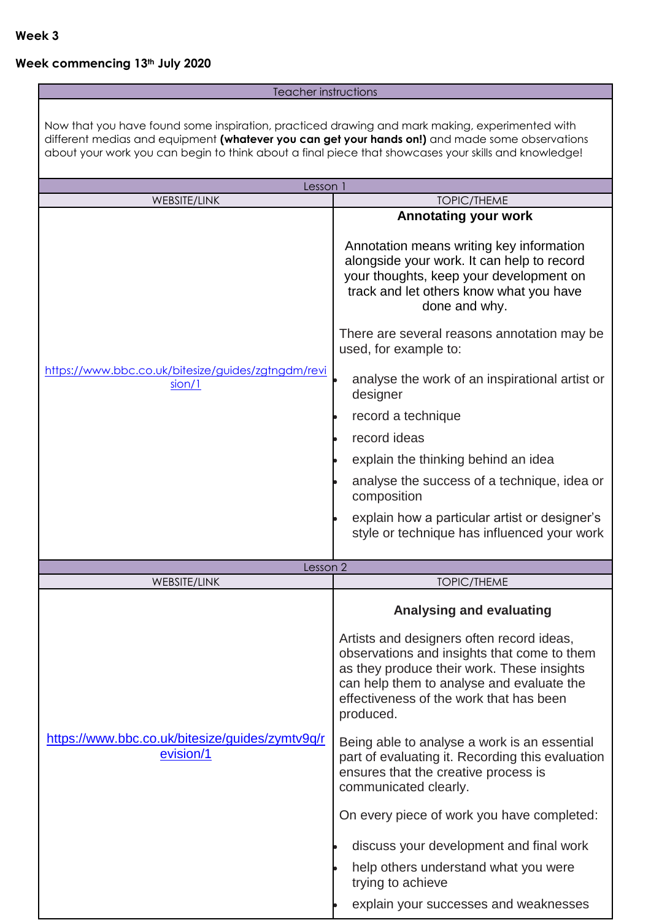# **Week commencing 13th July 2020**

### **Teacher instructions**

| Now that you have found some inspiration, practiced drawing and mark making, experimented with<br>different medias and equipment (whatever you can get your hands on!) and made some observations |                                                                                                                                                                                                                                             |  |
|---------------------------------------------------------------------------------------------------------------------------------------------------------------------------------------------------|---------------------------------------------------------------------------------------------------------------------------------------------------------------------------------------------------------------------------------------------|--|
| about your work you can begin to think about a final piece that showcases your skills and knowledge!                                                                                              |                                                                                                                                                                                                                                             |  |
| Lesson 1                                                                                                                                                                                          |                                                                                                                                                                                                                                             |  |
| <b>WEBSITE/LINK</b>                                                                                                                                                                               | <b>TOPIC/THEME</b>                                                                                                                                                                                                                          |  |
|                                                                                                                                                                                                   | <b>Annotating your work</b><br>Annotation means writing key information<br>alongside your work. It can help to record<br>your thoughts, keep your development on<br>track and let others know what you have<br>done and why.                |  |
|                                                                                                                                                                                                   | There are several reasons annotation may be<br>used, for example to:                                                                                                                                                                        |  |
| https://www.bbc.co.uk/bitesize/guides/zgtngdm/revi<br>sion/1                                                                                                                                      | analyse the work of an inspirational artist or<br>designer                                                                                                                                                                                  |  |
|                                                                                                                                                                                                   | record a technique                                                                                                                                                                                                                          |  |
|                                                                                                                                                                                                   | record ideas                                                                                                                                                                                                                                |  |
|                                                                                                                                                                                                   | explain the thinking behind an idea                                                                                                                                                                                                         |  |
|                                                                                                                                                                                                   | analyse the success of a technique, idea or<br>composition                                                                                                                                                                                  |  |
|                                                                                                                                                                                                   | explain how a particular artist or designer's<br>style or technique has influenced your work                                                                                                                                                |  |
| Lesson 2                                                                                                                                                                                          |                                                                                                                                                                                                                                             |  |
| <b>WEBSITE/LINK</b>                                                                                                                                                                               | <b>TOPIC/THEME</b>                                                                                                                                                                                                                          |  |
|                                                                                                                                                                                                   | <b>Analysing and evaluating</b>                                                                                                                                                                                                             |  |
|                                                                                                                                                                                                   | Artists and designers often record ideas,<br>observations and insights that come to them<br>as they produce their work. These insights<br>can help them to analyse and evaluate the<br>effectiveness of the work that has been<br>produced. |  |
| https://www.bbc.co.uk/bitesize/guides/zymtv9q/r<br>evision/1                                                                                                                                      | Being able to analyse a work is an essential<br>part of evaluating it. Recording this evaluation<br>ensures that the creative process is<br>communicated clearly.                                                                           |  |
|                                                                                                                                                                                                   | On every piece of work you have completed:                                                                                                                                                                                                  |  |
|                                                                                                                                                                                                   | discuss your development and final work                                                                                                                                                                                                     |  |
|                                                                                                                                                                                                   | help others understand what you were<br>trying to achieve                                                                                                                                                                                   |  |
|                                                                                                                                                                                                   | explain your successes and weaknesses                                                                                                                                                                                                       |  |